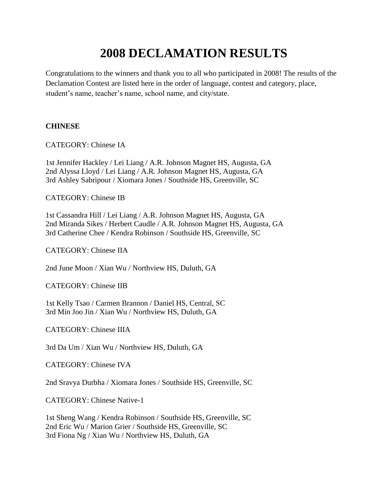# **2008 DECLAMATION RESULTS**

Congratulations to the winners and thank you to all who participated in 2008! The results of the Declamation Contest are listed here in the order of language, contest and category, place, student's name, teacher's name, school name, and city/state.

# **CHINESE**

CATEGORY: Chinese IA

1st Jennifer Hackley / Lei Liang / A.R. Johnson Magnet HS, Augusta, GA 2nd Alyssa Lloyd / Lei Liang / A.R. Johnson Magnet HS, Augusta, GA 3rd Ashley Sabripour / Xiomara Jones / Southside HS, Greenville, SC

CATEGORY: Chinese IB

1st Cassandra Hill / Lei Liang / A.R. Johnson Magnet HS, Augusta, GA 2nd Miranda Sikes / Herbert Caudle / A.R. Johnson Magnet HS, Augusta, GA 3rd Catherine Chee / Kendra Robinson / Southside HS, Greenville, SC

CATEGORY: Chinese IIA

2nd June Moon / Xian Wu / Northview HS, Duluth, GA

CATEGORY: Chinese IIB

1st Kelly Tsao / Carmen Brannon / Daniel HS, Central, SC 3rd Min Joo Jin / Xian Wu / Northview HS, Duluth, GA

CATEGORY: Chinese IIIA

3rd Da Um / Xian Wu / Northview HS, Duluth, GA

CATEGORY: Chinese IVA

2nd Sravya Durbha / Xiomara Jones / Southside HS, Greenville, SC

CATEGORY: Chinese Native-1

1st Sheng Wang / Kendra Robinson / Southside HS, Greenville, SC 2nd Eric Wu / Marion Grier / Southside HS, Greenville, SC 3rd Fiona Ng / Xian Wu / Northview HS, Duluth, GA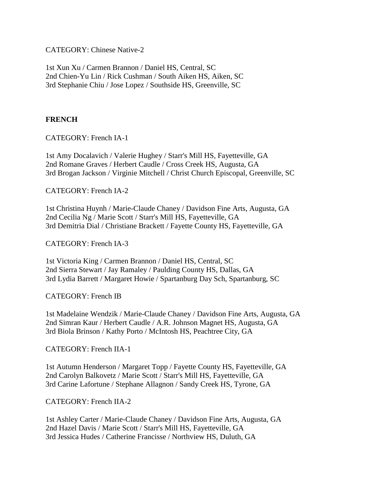CATEGORY: Chinese Native-2

1st Xun Xu / Carmen Brannon / Daniel HS, Central, SC 2nd Chien-Yu Lin / Rick Cushman / South Aiken HS, Aiken, SC 3rd Stephanie Chiu / Jose Lopez / Southside HS, Greenville, SC

## **FRENCH**

CATEGORY: French IA-1

1st Amy Docalavich / Valerie Hughey / Starr's Mill HS, Fayetteville, GA 2nd Romane Graves / Herbert Caudle / Cross Creek HS, Augusta, GA 3rd Brogan Jackson / Virginie Mitchell / Christ Church Episcopal, Greenville, SC

CATEGORY: French IA-2

1st Christina Huynh / Marie-Claude Chaney / Davidson Fine Arts, Augusta, GA 2nd Cecilia Ng / Marie Scott / Starr's Mill HS, Fayetteville, GA 3rd Demitria Dial / Christiane Brackett / Fayette County HS, Fayetteville, GA

CATEGORY: French IA-3

1st Victoria King / Carmen Brannon / Daniel HS, Central, SC 2nd Sierra Stewart / Jay Ramaley / Paulding County HS, Dallas, GA 3rd Lydia Barrett / Margaret Howie / Spartanburg Day Sch, Spartanburg, SC

CATEGORY: French IB

1st Madelaine Wendzik / Marie-Claude Chaney / Davidson Fine Arts, Augusta, GA 2nd Simran Kaur / Herbert Caudle / A.R. Johnson Magnet HS, Augusta, GA 3rd Biola Brinson / Kathy Porto / McIntosh HS, Peachtree City, GA

CATEGORY: French IIA-1

1st Autumn Henderson / Margaret Topp / Fayette County HS, Fayetteville, GA 2nd Carolyn Balkovetz / Marie Scott / Starr's Mill HS, Fayetteville, GA 3rd Carine Lafortune / Stephane Allagnon / Sandy Creek HS, Tyrone, GA

CATEGORY: French IIA-2

1st Ashley Carter / Marie-Claude Chaney / Davidson Fine Arts, Augusta, GA 2nd Hazel Davis / Marie Scott / Starr's Mill HS, Fayetteville, GA 3rd Jessica Hudes / Catherine Francisse / Northview HS, Duluth, GA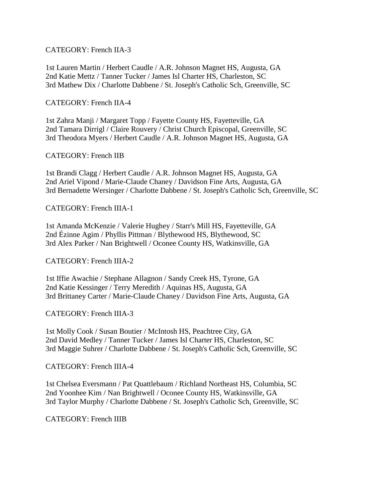#### CATEGORY: French IIA-3

1st Lauren Martin / Herbert Caudle / A.R. Johnson Magnet HS, Augusta, GA 2nd Katie Mettz / Tanner Tucker / James Isl Charter HS, Charleston, SC 3rd Mathew Dix / Charlotte Dabbene / St. Joseph's Catholic Sch, Greenville, SC

#### CATEGORY: French IIA-4

1st Zahra Manji / Margaret Topp / Fayette County HS, Fayetteville, GA 2nd Tamara Dirrigl / Claire Rouvery / Christ Church Episcopal, Greenville, SC 3rd Theodora Myers / Herbert Caudle / A.R. Johnson Magnet HS, Augusta, GA

#### CATEGORY: French IIB

1st Brandi Clagg / Herbert Caudle / A.R. Johnson Magnet HS, Augusta, GA 2nd Ariel Vipond / Marie-Claude Chaney / Davidson Fine Arts, Augusta, GA 3rd Bernadette Wersinger / Charlotte Dabbene / St. Joseph's Catholic Sch, Greenville, SC

#### CATEGORY: French IIIA-1

1st Amanda McKenzie / Valerie Hughey / Starr's Mill HS, Fayetteville, GA 2nd Ézinne Agim / Phyllis Pittman / Blythewood HS, Blythewood, SC 3rd Alex Parker / Nan Brightwell / Oconee County HS, Watkinsville, GA

#### CATEGORY: French IIIA-2

1st Iffie Awachie / Stephane Allagnon / Sandy Creek HS, Tyrone, GA 2nd Katie Kessinger / Terry Meredith / Aquinas HS, Augusta, GA 3rd Brittaney Carter / Marie-Claude Chaney / Davidson Fine Arts, Augusta, GA

#### CATEGORY: French IIIA-3

1st Molly Cook / Susan Boutier / McIntosh HS, Peachtree City, GA 2nd David Medley / Tanner Tucker / James Isl Charter HS, Charleston, SC 3rd Maggie Suhrer / Charlotte Dabbene / St. Joseph's Catholic Sch, Greenville, SC

#### CATEGORY: French IIIA-4

1st Chelsea Eversmann / Pat Quattlebaum / Richland Northeast HS, Columbia, SC 2nd Yoonhee Kim / Nan Brightwell / Oconee County HS, Watkinsville, GA 3rd Taylor Murphy / Charlotte Dabbene / St. Joseph's Catholic Sch, Greenville, SC

#### CATEGORY: French IIIB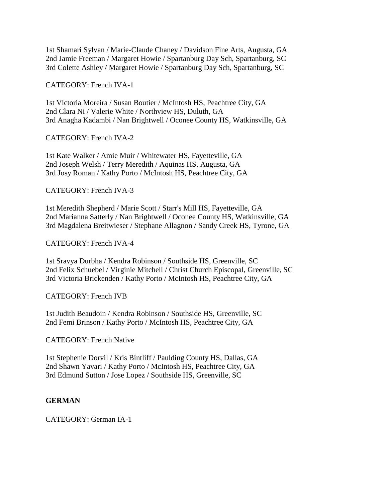1st Shamari Sylvan / Marie-Claude Chaney / Davidson Fine Arts, Augusta, GA 2nd Jamie Freeman / Margaret Howie / Spartanburg Day Sch, Spartanburg, SC 3rd Colette Ashley / Margaret Howie / Spartanburg Day Sch, Spartanburg, SC

## CATEGORY: French IVA-1

1st Victoria Moreira / Susan Boutier / McIntosh HS, Peachtree City, GA 2nd Clara Ni / Valerie White / Northview HS, Duluth, GA 3rd Anagha Kadambi / Nan Brightwell / Oconee County HS, Watkinsville, GA

# CATEGORY: French IVA-2

1st Kate Walker / Amie Muir / Whitewater HS, Fayetteville, GA 2nd Joseph Welsh / Terry Meredith / Aquinas HS, Augusta, GA 3rd Josy Roman / Kathy Porto / McIntosh HS, Peachtree City, GA

# CATEGORY: French IVA-3

1st Meredith Shepherd / Marie Scott / Starr's Mill HS, Fayetteville, GA 2nd Marianna Satterly / Nan Brightwell / Oconee County HS, Watkinsville, GA 3rd Magdalena Breitwieser / Stephane Allagnon / Sandy Creek HS, Tyrone, GA

# CATEGORY: French IVA-4

1st Sravya Durbha / Kendra Robinson / Southside HS, Greenville, SC 2nd Felix Schuebel / Virginie Mitchell / Christ Church Episcopal, Greenville, SC 3rd Victoria Brickenden / Kathy Porto / McIntosh HS, Peachtree City, GA

#### CATEGORY: French IVB

1st Judith Beaudoin / Kendra Robinson / Southside HS, Greenville, SC 2nd Femi Brinson / Kathy Porto / McIntosh HS, Peachtree City, GA

# CATEGORY: French Native

1st Stephenie Dorvil / Kris Bintliff / Paulding County HS, Dallas, GA 2nd Shawn Yavari / Kathy Porto / McIntosh HS, Peachtree City, GA 3rd Edmund Sutton / Jose Lopez / Southside HS, Greenville, SC

#### **GERMAN**

CATEGORY: German IA-1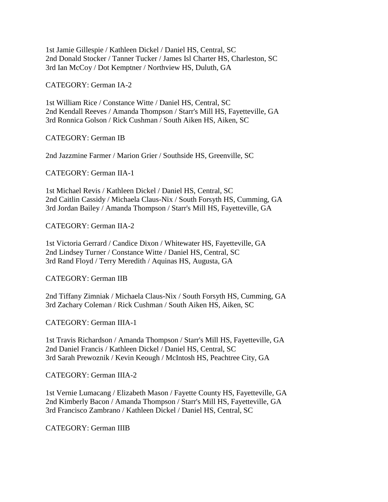1st Jamie Gillespie / Kathleen Dickel / Daniel HS, Central, SC 2nd Donald Stocker / Tanner Tucker / James Isl Charter HS, Charleston, SC 3rd Ian McCoy / Dot Kemptner / Northview HS, Duluth, GA

CATEGORY: German IA-2

1st William Rice / Constance Witte / Daniel HS, Central, SC 2nd Kendall Reeves / Amanda Thompson / Starr's Mill HS, Fayetteville, GA 3rd Ronnica Golson / Rick Cushman / South Aiken HS, Aiken, SC

CATEGORY: German IB

2nd Jazzmine Farmer / Marion Grier / Southside HS, Greenville, SC

CATEGORY: German IIA-1

1st Michael Revis / Kathleen Dickel / Daniel HS, Central, SC 2nd Caitlin Cassidy / Michaela Claus-Nix / South Forsyth HS, Cumming, GA 3rd Jordan Bailey / Amanda Thompson / Starr's Mill HS, Fayetteville, GA

CATEGORY: German IIA-2

1st Victoria Gerrard / Candice Dixon / Whitewater HS, Fayetteville, GA 2nd Lindsey Turner / Constance Witte / Daniel HS, Central, SC 3rd Rand Floyd / Terry Meredith / Aquinas HS, Augusta, GA

CATEGORY: German IIB

2nd Tiffany Zimniak / Michaela Claus-Nix / South Forsyth HS, Cumming, GA 3rd Zachary Coleman / Rick Cushman / South Aiken HS, Aiken, SC

CATEGORY: German IIIA-1

1st Travis Richardson / Amanda Thompson / Starr's Mill HS, Fayetteville, GA 2nd Daniel Francis / Kathleen Dickel / Daniel HS, Central, SC 3rd Sarah Prewoznik / Kevin Keough / McIntosh HS, Peachtree City, GA

CATEGORY: German IIIA-2

1st Vernie Lumacang / Elizabeth Mason / Fayette County HS, Fayetteville, GA 2nd Kimberly Bacon / Amanda Thompson / Starr's Mill HS, Fayetteville, GA 3rd Francisco Zambrano / Kathleen Dickel / Daniel HS, Central, SC

CATEGORY: German IIIB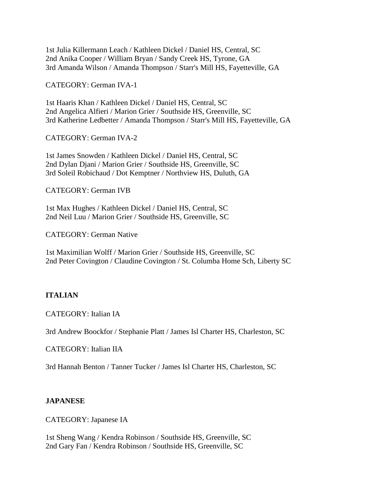1st Julia Killermann Leach / Kathleen Dickel / Daniel HS, Central, SC 2nd Anika Cooper / William Bryan / Sandy Creek HS, Tyrone, GA 3rd Amanda Wilson / Amanda Thompson / Starr's Mill HS, Fayetteville, GA

CATEGORY: German IVA-1

1st Haaris Khan / Kathleen Dickel / Daniel HS, Central, SC 2nd Angelica Alfieri / Marion Grier / Southside HS, Greenville, SC 3rd Katherine Ledbetter / Amanda Thompson / Starr's Mill HS, Fayetteville, GA

CATEGORY: German IVA-2

1st James Snowden / Kathleen Dickel / Daniel HS, Central, SC 2nd Dylan Djani / Marion Grier / Southside HS, Greenville, SC 3rd Soleil Robichaud / Dot Kemptner / Northview HS, Duluth, GA

CATEGORY: German IVB

1st Max Hughes / Kathleen Dickel / Daniel HS, Central, SC 2nd Neil Luu / Marion Grier / Southside HS, Greenville, SC

CATEGORY: German Native

1st Maximilian Wolff / Marion Grier / Southside HS, Greenville, SC 2nd Peter Covington / Claudine Covington / St. Columba Home Sch, Liberty SC

#### **ITALIAN**

CATEGORY: Italian IA

3rd Andrew Boockfor / Stephanie Platt / James Isl Charter HS, Charleston, SC

CATEGORY: Italian IIA

3rd Hannah Benton / Tanner Tucker / James Isl Charter HS, Charleston, SC

#### **JAPANESE**

CATEGORY: Japanese IA

1st Sheng Wang / Kendra Robinson / Southside HS, Greenville, SC 2nd Gary Fan / Kendra Robinson / Southside HS, Greenville, SC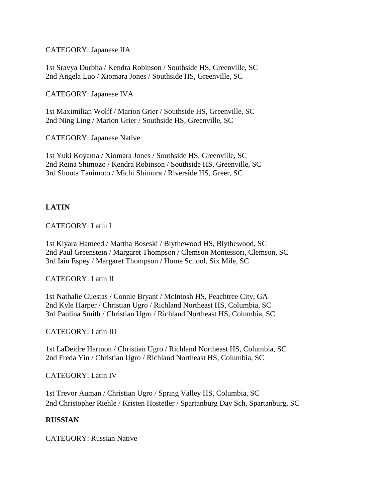CATEGORY: Japanese IIA

1st Sravya Durbha / Kendra Robinson / Southside HS, Greenville, SC 2nd Angela Luo / Xiomara Jones / Southside HS, Greenville, SC

CATEGORY: Japanese IVA

1st Maximilian Wolff / Marion Grier / Southside HS, Greenville, SC 2nd Ning Ling / Marion Grier / Southside HS, Greenville, SC

CATEGORY: Japanese Native

1st Yuki Koyama / Xiomara Jones / Southside HS, Greenville, SC 2nd Reina Shimozo / Kendra Robinson / Southside HS, Greenville, SC 3rd Shouta Tanimoto / Michi Shimura / Riverside HS, Greer, SC

# **LATIN**

# CATEGORY: Latin I

1st Kiyara Hameed / Martha Boseski / Blythewood HS, Blythewood, SC 2nd Paul Greenstein / Margaret Thompson / Clemson Montessori, Clemson, SC 3rd Iain Espey / Margaret Thompson / Home School, Six Mile, SC

#### CATEGORY: Latin II

1st Nathalie Cuestas / Connie Bryant / McIntosh HS, Peachtree City, GA 2nd Kyle Harper / Christian Ugro / Richland Northeast HS, Columbia, SC 3rd Paulina Smith / Christian Ugro / Richland Northeast HS, Columbia, SC

#### CATEGORY: Latin III

1st LaDeidre Harmon / Christian Ugro / Richland Northeast HS, Columbia, SC 2nd Freda Yin / Christian Ugro / Richland Northeast HS, Columbia, SC

#### CATEGORY: Latin IV

1st Trevor Auman / Christian Ugro / Spring Valley HS, Columbia, SC 2nd Christopher Riehle / Kristen Hostetler / Spartanburg Day Sch, Spartanburg, SC

#### **RUSSIAN**

CATEGORY: Russian Native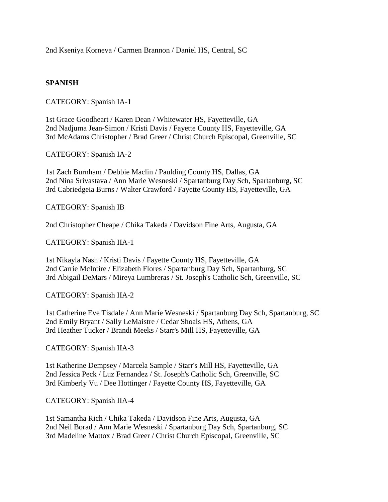2nd Kseniya Korneva / Carmen Brannon / Daniel HS, Central, SC

# **SPANISH**

CATEGORY: Spanish IA-1

1st Grace Goodheart / Karen Dean / Whitewater HS, Fayetteville, GA 2nd Nadjuma Jean-Simon / Kristi Davis / Fayette County HS, Fayetteville, GA 3rd McAdams Christopher / Brad Greer / Christ Church Episcopal, Greenville, SC

CATEGORY: Spanish IA-2

1st Zach Burnham / Debbie Maclin / Paulding County HS, Dallas, GA 2nd Nina Srivastava / Ann Marie Wesneski / Spartanburg Day Sch, Spartanburg, SC 3rd Cabriedgeia Burns / Walter Crawford / Fayette County HS, Fayetteville, GA

CATEGORY: Spanish IB

2nd Christopher Cheape / Chika Takeda / Davidson Fine Arts, Augusta, GA

CATEGORY: Spanish IIA-1

1st Nikayla Nash / Kristi Davis / Fayette County HS, Fayetteville, GA 2nd Carrie McIntire / Elizabeth Flores / Spartanburg Day Sch, Spartanburg, SC 3rd Abigail DeMars / Mireya Lumbreras / St. Joseph's Catholic Sch, Greenville, SC

CATEGORY: Spanish IIA-2

1st Catherine Eve Tisdale / Ann Marie Wesneski / Spartanburg Day Sch, Spartanburg, SC 2nd Emily Bryant / Sally LeMaistre / Cedar Shoals HS, Athens, GA 3rd Heather Tucker / Brandi Meeks / Starr's Mill HS, Fayetteville, GA

CATEGORY: Spanish IIA-3

1st Katherine Dempsey / Marcela Sample / Starr's Mill HS, Fayetteville, GA 2nd Jessica Peck / Luz Fernandez / St. Joseph's Catholic Sch, Greenville, SC 3rd Kimberly Vu / Dee Hottinger / Fayette County HS, Fayetteville, GA

CATEGORY: Spanish IIA-4

1st Samantha Rich / Chika Takeda / Davidson Fine Arts, Augusta, GA 2nd Neil Borad / Ann Marie Wesneski / Spartanburg Day Sch, Spartanburg, SC 3rd Madeline Mattox / Brad Greer / Christ Church Episcopal, Greenville, SC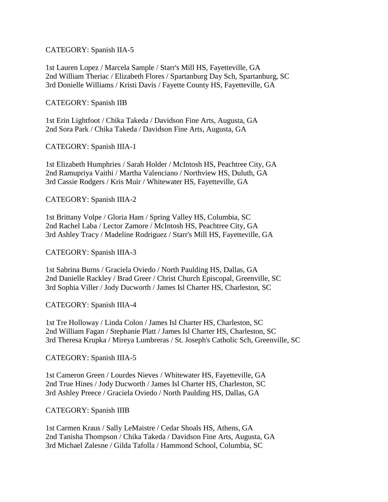#### CATEGORY: Spanish IIA-5

1st Lauren Lopez / Marcela Sample / Starr's Mill HS, Fayetteville, GA 2nd William Theriac / Elizabeth Flores / Spartanburg Day Sch, Spartanburg, SC 3rd Donielle Williams / Kristi Davis / Fayette County HS, Fayetteville, GA

CATEGORY: Spanish IIB

1st Erin Lightfoot / Chika Takeda / Davidson Fine Arts, Augusta, GA 2nd Sora Park / Chika Takeda / Davidson Fine Arts, Augusta, GA

CATEGORY: Spanish IIIA-1

1st Elizabeth Humphries / Sarah Holder / McIntosh HS, Peachtree City, GA 2nd Ramupriya Vaithi / Martha Valenciano / Northview HS, Duluth, GA 3rd Cassie Rodgers / Kris Muir / Whitewater HS, Fayetteville, GA

CATEGORY: Spanish IIIA-2

1st Brittany Volpe / Gloria Ham / Spring Valley HS, Columbia, SC 2nd Rachel Laba / Lector Zamore / McIntosh HS, Peachtree City, GA 3rd Ashley Tracy / Madeline Rodriguez / Starr's Mill HS, Fayetteville, GA

CATEGORY: Spanish IIIA-3

1st Sabrina Burns / Graciela Oviedo / North Paulding HS, Dallas, GA 2nd Danielle Rackley / Brad Greer / Christ Church Episcopal, Greenville, SC 3rd Sophia Viller / Jody Ducworth / James Isl Charter HS, Charleston, SC

CATEGORY: Spanish IIIA-4

1st Tre Holloway / Linda Colon / James Isl Charter HS, Charleston, SC 2nd William Fagan / Stephanie Platt / James Isl Charter HS, Charleston, SC 3rd Theresa Krupka / Mireya Lumbreras / St. Joseph's Catholic Sch, Greenville, SC

CATEGORY: Spanish IIIA-5

1st Cameron Green / Lourdes Nieves / Whitewater HS, Fayetteville, GA 2nd True Hines / Jody Ducworth / James Isl Charter HS, Charleston, SC 3rd Ashley Preece / Graciela Oviedo / North Paulding HS, Dallas, GA

CATEGORY: Spanish IIIB

1st Carmen Kraus / Sally LeMaistre / Cedar Shoals HS, Athens, GA 2nd Tanisha Thompson / Chika Takeda / Davidson Fine Arts, Augusta, GA 3rd Michael Zalesne / Gilda Tafolla / Hammond School, Columbia, SC